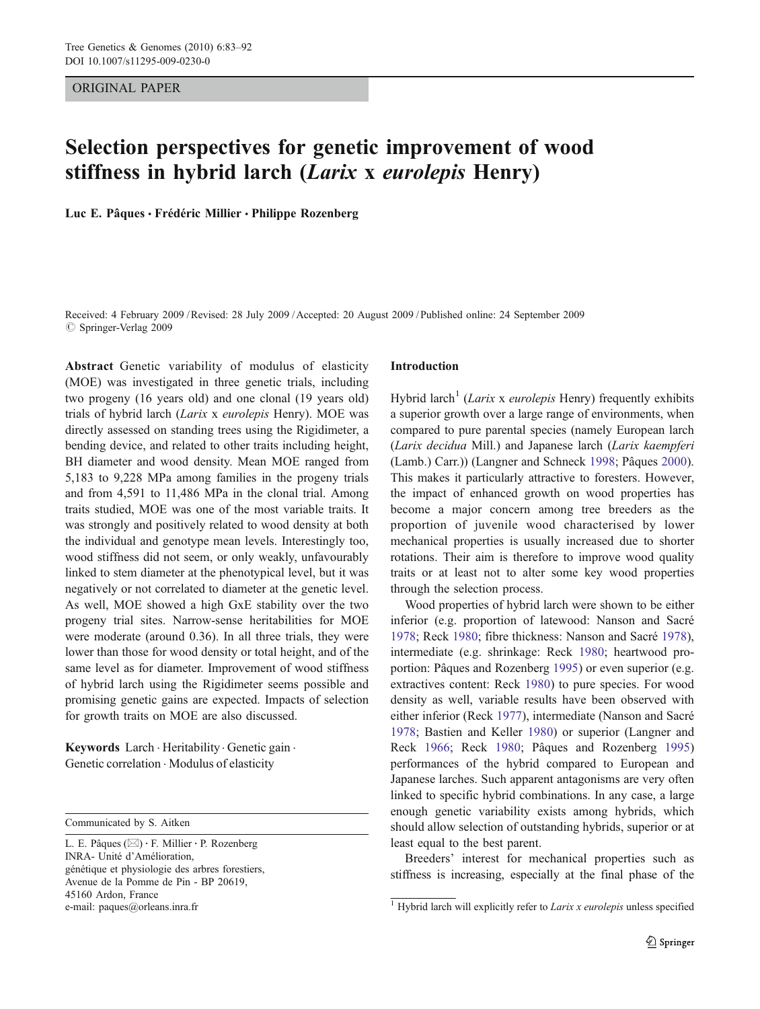ORIGINAL PAPER

# Selection perspectives for genetic improvement of wood stiffness in hybrid larch (Larix x eurolepis Henry)

Luc E. Pâques · Frédéric Millier · Philippe Rozenberg

Received: 4 February 2009 /Revised: 28 July 2009 /Accepted: 20 August 2009 / Published online: 24 September 2009  $\circ$  Springer-Verlag 2009

Abstract Genetic variability of modulus of elasticity (MOE) was investigated in three genetic trials, including two progeny (16 years old) and one clonal (19 years old) trials of hybrid larch (Larix x eurolepis Henry). MOE was directly assessed on standing trees using the Rigidimeter, a bending device, and related to other traits including height, BH diameter and wood density. Mean MOE ranged from 5,183 to 9,228 MPa among families in the progeny trials and from 4,591 to 11,486 MPa in the clonal trial. Among traits studied, MOE was one of the most variable traits. It was strongly and positively related to wood density at both the individual and genotype mean levels. Interestingly too, wood stiffness did not seem, or only weakly, unfavourably linked to stem diameter at the phenotypical level, but it was negatively or not correlated to diameter at the genetic level. As well, MOE showed a high GxE stability over the two progeny trial sites. Narrow-sense heritabilities for MOE were moderate (around 0.36). In all three trials, they were lower than those for wood density or total height, and of the same level as for diameter. Improvement of wood stiffness of hybrid larch using the Rigidimeter seems possible and promising genetic gains are expected. Impacts of selection for growth traits on MOE are also discussed.

Keywords Larch . Heritability . Genetic gain . Genetic correlation . Modulus of elasticity

Communicated by S. Aitken

L. E. Pâques (*\**) : F. Millier : P. Rozenberg INRA- Unité d'Amélioration, génétique et physiologie des arbres forestiers, Avenue de la Pomme de Pin - BP 20619, 45160 Ardon, France e-mail: paques@orleans.inra.fr

## Introduction

Hybrid larch<sup>1</sup> (Larix x eurolepis Henry) frequently exhibits a superior growth over a large range of environments, when compared to pure parental species (namely European larch (Larix decidua Mill.) and Japanese larch (Larix kaempferi (Lamb.) Carr.)) (Langner and Schneck [1998](#page-8-0); Pâques [2000\)](#page-9-0). This makes it particularly attractive to foresters. However, the impact of enhanced growth on wood properties has become a major concern among tree breeders as the proportion of juvenile wood characterised by lower mechanical properties is usually increased due to shorter rotations. Their aim is therefore to improve wood quality traits or at least not to alter some key wood properties through the selection process.

Wood properties of hybrid larch were shown to be either inferior (e.g. proportion of latewood: Nanson and Sacré [1978](#page-8-0); Reck [1980;](#page-9-0) fibre thickness: Nanson and Sacré [1978\)](#page-8-0), intermediate (e.g. shrinkage: Reck [1980;](#page-9-0) heartwood proportion: Pâques and Rozenberg [1995](#page-9-0)) or even superior (e.g. extractives content: Reck [1980](#page-9-0)) to pure species. For wood density as well, variable results have been observed with either inferior (Reck [1977](#page-9-0)), intermediate (Nanson and Sacré [1978](#page-8-0); Bastien and Keller [1980\)](#page-8-0) or superior (Langner and Reck [1966;](#page-8-0) Reck [1980](#page-9-0); Pâques and Rozenberg [1995](#page-9-0)) performances of the hybrid compared to European and Japanese larches. Such apparent antagonisms are very often linked to specific hybrid combinations. In any case, a large enough genetic variability exists among hybrids, which should allow selection of outstanding hybrids, superior or at least equal to the best parent.

Breeders' interest for mechanical properties such as stiffness is increasing, especially at the final phase of the

<sup>&</sup>lt;sup>1</sup> Hybrid larch will explicitly refer to Larix x eurolepis unless specified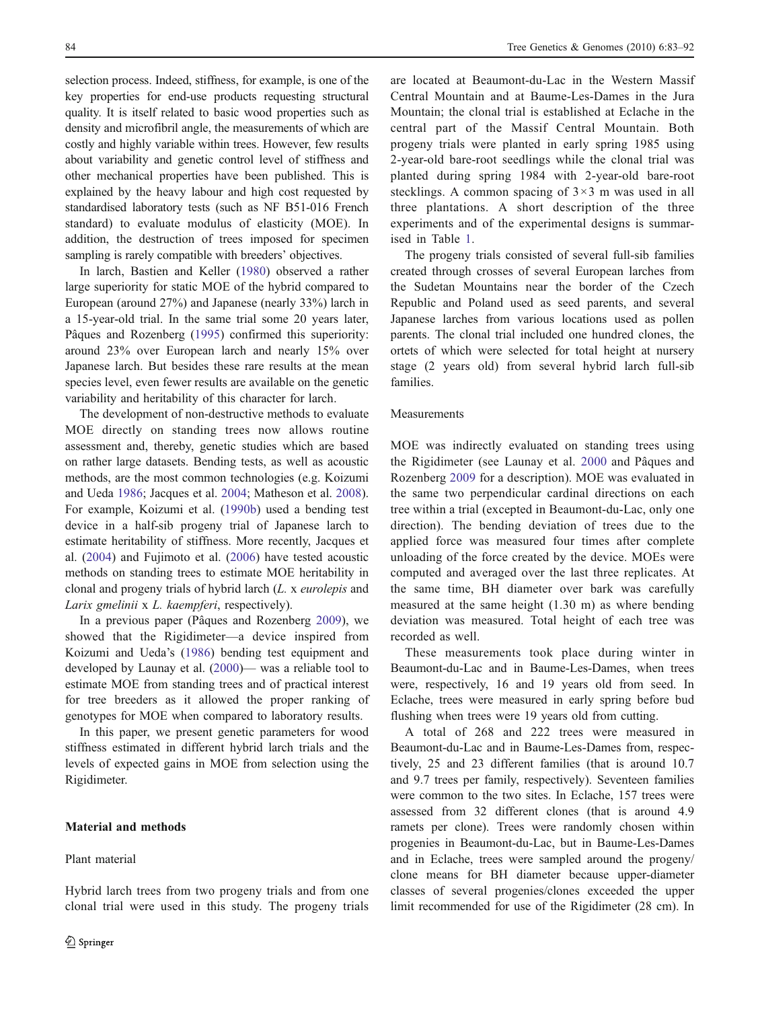selection process. Indeed, stiffness, for example, is one of the key properties for end-use products requesting structural quality. It is itself related to basic wood properties such as density and microfibril angle, the measurements of which are costly and highly variable within trees. However, few results about variability and genetic control level of stiffness and other mechanical properties have been published. This is explained by the heavy labour and high cost requested by standardised laboratory tests (such as NF B51-016 French standard) to evaluate modulus of elasticity (MOE). In addition, the destruction of trees imposed for specimen sampling is rarely compatible with breeders' objectives.

In larch, Bastien and Keller ([1980](#page-8-0)) observed a rather large superiority for static MOE of the hybrid compared to European (around 27%) and Japanese (nearly 33%) larch in a 15-year-old trial. In the same trial some 20 years later, Pâques and Rozenberg ([1995\)](#page-9-0) confirmed this superiority: around 23% over European larch and nearly 15% over Japanese larch. But besides these rare results at the mean species level, even fewer results are available on the genetic variability and heritability of this character for larch.

The development of non-destructive methods to evaluate MOE directly on standing trees now allows routine assessment and, thereby, genetic studies which are based on rather large datasets. Bending tests, as well as acoustic methods, are the most common technologies (e.g. Koizumi and Ueda [1986;](#page-8-0) Jacques et al. [2004;](#page-8-0) Matheson et al. [2008](#page-8-0)). For example, Koizumi et al. [\(1990b](#page-8-0)) used a bending test device in a half-sib progeny trial of Japanese larch to estimate heritability of stiffness. More recently, Jacques et al. ([2004\)](#page-8-0) and Fujimoto et al. [\(2006](#page-8-0)) have tested acoustic methods on standing trees to estimate MOE heritability in clonal and progeny trials of hybrid larch (L. x eurolepis and Larix gmelinii x L. kaempferi, respectively).

In a previous paper (Pâques and Rozenberg [2009\)](#page-9-0), we showed that the Rigidimeter—a device inspired from Koizumi and Ueda's ([1986\)](#page-8-0) bending test equipment and developed by Launay et al. ([2000](#page-8-0))— was a reliable tool to estimate MOE from standing trees and of practical interest for tree breeders as it allowed the proper ranking of genotypes for MOE when compared to laboratory results.

In this paper, we present genetic parameters for wood stiffness estimated in different hybrid larch trials and the levels of expected gains in MOE from selection using the Rigidimeter.

# Material and methods

## Plant material

Hybrid larch trees from two progeny trials and from one clonal trial were used in this study. The progeny trials

are located at Beaumont-du-Lac in the Western Massif Central Mountain and at Baume-Les-Dames in the Jura Mountain; the clonal trial is established at Eclache in the central part of the Massif Central Mountain. Both progeny trials were planted in early spring 1985 using 2-year-old bare-root seedlings while the clonal trial was planted during spring 1984 with 2-year-old bare-root stecklings. A common spacing of  $3 \times 3$  m was used in all three plantations. A short description of the three experiments and of the experimental designs is summarised in Table [1.](#page-2-0)

The progeny trials consisted of several full-sib families created through crosses of several European larches from the Sudetan Mountains near the border of the Czech Republic and Poland used as seed parents, and several Japanese larches from various locations used as pollen parents. The clonal trial included one hundred clones, the ortets of which were selected for total height at nursery stage (2 years old) from several hybrid larch full-sib families.

# Measurements

MOE was indirectly evaluated on standing trees using the Rigidimeter (see Launay et al. [2000](#page-8-0) and Pâques and Rozenberg [2009](#page-9-0) for a description). MOE was evaluated in the same two perpendicular cardinal directions on each tree within a trial (excepted in Beaumont-du-Lac, only one direction). The bending deviation of trees due to the applied force was measured four times after complete unloading of the force created by the device. MOEs were computed and averaged over the last three replicates. At the same time, BH diameter over bark was carefully measured at the same height (1.30 m) as where bending deviation was measured. Total height of each tree was recorded as well.

These measurements took place during winter in Beaumont-du-Lac and in Baume-Les-Dames, when trees were, respectively, 16 and 19 years old from seed. In Eclache, trees were measured in early spring before bud flushing when trees were 19 years old from cutting.

A total of 268 and 222 trees were measured in Beaumont-du-Lac and in Baume-Les-Dames from, respectively, 25 and 23 different families (that is around 10.7 and 9.7 trees per family, respectively). Seventeen families were common to the two sites. In Eclache, 157 trees were assessed from 32 different clones (that is around 4.9 ramets per clone). Trees were randomly chosen within progenies in Beaumont-du-Lac, but in Baume-Les-Dames and in Eclache, trees were sampled around the progeny/ clone means for BH diameter because upper-diameter classes of several progenies/clones exceeded the upper limit recommended for use of the Rigidimeter (28 cm). In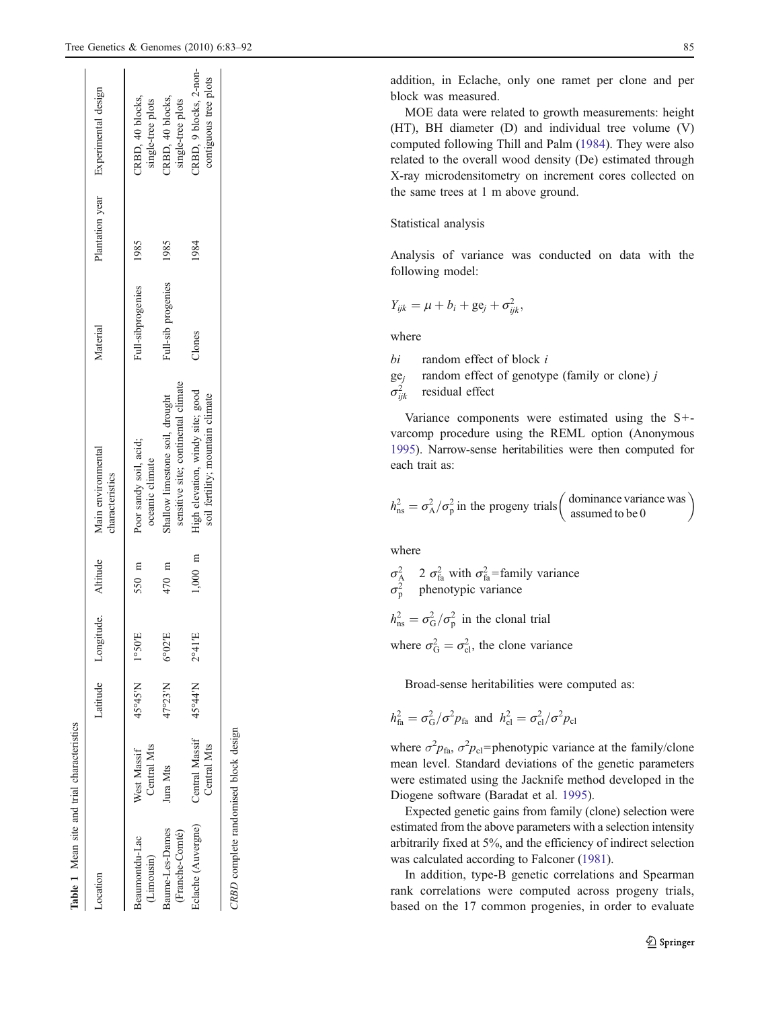<span id="page-2-0"></span>

| Location                              |                               | Latitude | Longitude.               | Altitude | Main environmental<br>characteristics                                  | Material           | Plantation year | Experimental design                             |
|---------------------------------------|-------------------------------|----------|--------------------------|----------|------------------------------------------------------------------------|--------------------|-----------------|-------------------------------------------------|
| Beaumontdu-Lac<br>(Limousin)          | Central Mts<br>West Massif    | 45°45'N  | $1^{\circ}50^{\circ}$ E  | 550 m    | Poor sandy soil, acid;<br>oceanic climate                              | Full-sibprogenies  | 1985            | CRBD, 40 blocks,<br>single-tree plots           |
| Baume-Les-Dames<br>(Franche-Comté)    | Jura Mts                      | 47°23'N  | $6^{\circ}02^{\prime}$ E | 470 m    | sensitive site; continental climate<br>Shallow limestone soil, drought | Full-sib progenies | 1985            | CRBD, 40 blocks,<br>single-tree plots           |
| Eclache (Auvergne)                    | Central Massif<br>Central Mts | 45°44'N  | $2^{\circ}41\mathrm{E}$  | 000.1    | High elevation, windy site; good<br>soil fertility; mountain climate   | Clones             | 1984            | CRBD, 9 blocks, 2-non-<br>contiguous tree plots |
| CRBD complete randomised block design |                               |          |                          |          |                                                                        |                    |                 |                                                 |

Table 1 Mean site and trial characteristics

Mean site and trial characteristics

addition, in Eclache, only one ramet per clone and per block was measured.

MOE data were related to growth measurements: height (HT), BH diameter (D) and individual tree volume (V) computed following Thill and Palm ([1984\)](#page-9-0). They were also related to the overall wood density (De) estimated through X-ray microdensitometry on increment cores collected on the same trees at 1 m above ground.

## Statistical analysis

Analysis of variance was conducted on data with the following model:

$$
Y_{ijk} = \mu + b_i + \mathrm{ge}_j + \sigma_{ijk}^2,
$$

where

bi random effect of block i

 $ge_j$  random effect of genotype (family or clone) j

$$
\sigma_{ijk}^2
$$
 residual effect

Variance components were estimated using the S+varcomp procedure using the REML option (Anonymous [1995\)](#page-8-0). Narrow-sense heritabilities were then computed for each trait as:

$$
h_{\rm ns}^2 = \sigma_{\rm A}^2 / \sigma_{\rm p}^2
$$
 in the progeny trials  $\begin{pmatrix} \text{dominance variance was} \\ \text{assumed to be 0} \end{pmatrix}$ 

where

 $\sigma_{\rm A}^2$  2  $\sigma_{\rm fa}^2$  with  $\sigma_{\rm fa}^2$ =family variance  $\sigma_p^2$  phenotypic variance  $h_{\text{ns}}^2 = \sigma_{\text{G}}^2 / \sigma_{\text{p}}^2$  in the clonal trial where  $\sigma_G^2 = \sigma_{cl}^2$ , the clone variance

Broad-sense heritabilities were computed as:

$$
h_{\text{fa}}^2 = \sigma_{\text{G}}^2 / \sigma^2 p_{\text{fa}}
$$
 and  $h_{\text{cl}}^2 = \sigma_{\text{cl}}^2 / \sigma^2 p_{\text{cl}}$ 

where  $\sigma^2 p_{\text{fa}}$ ,  $\sigma^2 p_{\text{cl}}$ =phenotypic variance at the family/clone mean level. Standard deviations of the genetic parameters were estimated using the Jacknife method developed in the Diogene software (Baradat et al. [1995\)](#page-8-0).

Expected genetic gains from family (clone) selection were estimated from the above parameters with a selection intensity arbitrarily fixed at 5%, and the efficiency of indirect selection was calculated according to Falconer [\(1981\)](#page-8-0).

In addition, type-B genetic correlations and Spearman rank correlations were computed across progeny trials, based on the 17 common progenies, in order to evaluate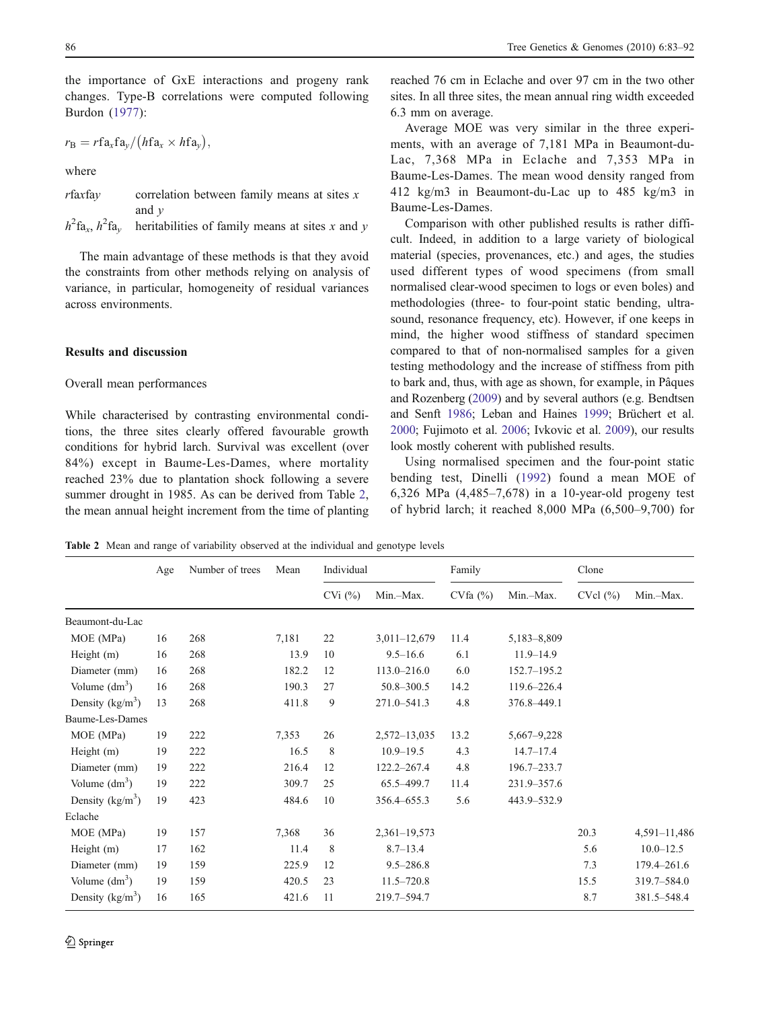the importance of GxE interactions and progeny rank changes. Type-B correlations were computed following Burdon ([1977](#page-8-0)):

$$
r_{\rm B}=r{\rm fa}_x{\rm fa}_y/(h{\rm fa}_x\times h{\rm fa}_y),
$$

where

 $r$ faxfay correlation between family means at sites  $x$ and  $\nu$  $h^2$ fa<sub>x</sub>,  $h^2$ heritabilities of family means at sites  $x$  and  $y$ 

The main advantage of these methods is that they avoid the constraints from other methods relying on analysis of variance, in particular, homogeneity of residual variances across environments.

# Results and discussion

# Overall mean performances

While characterised by contrasting environmental conditions, the three sites clearly offered favourable growth conditions for hybrid larch. Survival was excellent (over 84%) except in Baume-Les-Dames, where mortality reached 23% due to plantation shock following a severe summer drought in 1985. As can be derived from Table 2, the mean annual height increment from the time of planting reached 76 cm in Eclache and over 97 cm in the two other sites. In all three sites, the mean annual ring width exceeded 6.3 mm on average.

Average MOE was very similar in the three experiments, with an average of 7,181 MPa in Beaumont-du-Lac, 7,368 MPa in Eclache and 7,353 MPa in Baume-Les-Dames. The mean wood density ranged from 412 kg/m3 in Beaumont-du-Lac up to 485 kg/m3 in Baume-Les-Dames.

Comparison with other published results is rather difficult. Indeed, in addition to a large variety of biological material (species, provenances, etc.) and ages, the studies used different types of wood specimens (from small normalised clear-wood specimen to logs or even boles) and methodologies (three- to four-point static bending, ultrasound, resonance frequency, etc). However, if one keeps in mind, the higher wood stiffness of standard specimen compared to that of non-normalised samples for a given testing methodology and the increase of stiffness from pith to bark and, thus, with age as shown, for example, in Pâques and Rozenberg [\(2009\)](#page-9-0) and by several authors (e.g. Bendtsen and Senft [1986;](#page-8-0) Leban and Haines [1999;](#page-8-0) Brüchert et al. [2000;](#page-8-0) Fujimoto et al. [2006;](#page-8-0) Ivkovic et al. [2009](#page-8-0)), our results look mostly coherent with published results.

Using normalised specimen and the four-point static bending test, Dinelli ([1992\)](#page-8-0) found a mean MOE of 6,326 MPa (4,485–7,678) in a 10-year-old progeny test of hybrid larch; it reached 8,000 MPa (6,500–9,700) for

Table 2 Mean and range of variability observed at the individual and genotype levels

|                    | Number of trees<br>Age |     | Individual<br>Mean |              | Family           |         | Clone           |         |               |
|--------------------|------------------------|-----|--------------------|--------------|------------------|---------|-----------------|---------|---------------|
|                    |                        |     |                    | $CVi$ $(\%)$ | Min.-Max.        | CVfa(%) | Min.-Max.       | CVol(%) | Min.-Max.     |
| Beaumont-du-Lac    |                        |     |                    |              |                  |         |                 |         |               |
| MOE (MPa)          | 16                     | 268 | 7,181              | 22           | $3,011-12,679$   | 11.4    | 5,183-8,809     |         |               |
| Height (m)         | 16                     | 268 | 13.9               | 10           | $9.5 - 16.6$     | 6.1     | $11.9 - 14.9$   |         |               |
| Diameter (mm)      | 16                     | 268 | 182.2              | 12           | $113.0 - 216.0$  | 6.0     | 152.7-195.2     |         |               |
| Volume $(dm^3)$    | 16                     | 268 | 190.3              | 27           | $50.8 - 300.5$   | 14.2    | 119.6-226.4     |         |               |
| Density $(kg/m3)$  | 13                     | 268 | 411.8              | 9            | 271.0-541.3      | 4.8     | 376.8-449.1     |         |               |
| Baume-Les-Dames    |                        |     |                    |              |                  |         |                 |         |               |
| MOE (MPa)          | 19                     | 222 | 7,353              | 26           | $2,572 - 13,035$ | 13.2    | $5,667 - 9,228$ |         |               |
| Height (m)         | 19                     | 222 | 16.5               | 8            | $10.9 - 19.5$    | 4.3     | $14.7 - 17.4$   |         |               |
| Diameter (mm)      | 19                     | 222 | 216.4              | 12           | 122.2-267.4      | 4.8     | 196.7-233.7     |         |               |
| Volume $(dm^3)$    | 19                     | 222 | 309.7              | 25           | 65.5-499.7       | 11.4    | 231.9-357.6     |         |               |
| Density $(kg/m3)$  | 19                     | 423 | 484.6              | 10           | 356.4-655.3      | 5.6     | 443.9-532.9     |         |               |
| Eclache            |                        |     |                    |              |                  |         |                 |         |               |
| MOE (MPa)          | 19                     | 157 | 7,368              | 36           | $2,361 - 19,573$ |         |                 | 20.3    | 4,591-11,486  |
| Height (m)         | 17                     | 162 | 11.4               | 8            | $8.7 - 13.4$     |         |                 | 5.6     | $10.0 - 12.5$ |
| Diameter (mm)      | 19                     | 159 | 225.9              | 12           | $9.5 - 286.8$    |         |                 | 7.3     | 179.4-261.6   |
| Volume $(dm^3)$    | 19                     | 159 | 420.5              | 23           | $11.5 - 720.8$   |         |                 | 15.5    | 319.7-584.0   |
| Density $(kg/m^3)$ | 16                     | 165 | 421.6              | 11           | 219.7-594.7      |         |                 | 8.7     | 381.5-548.4   |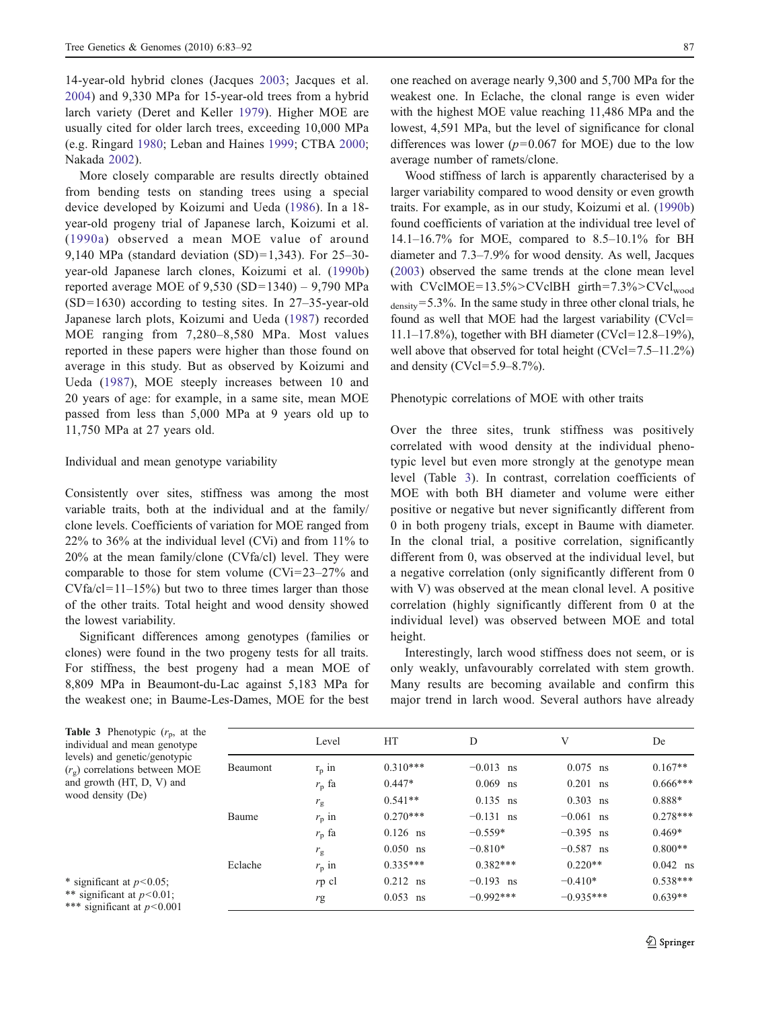<span id="page-4-0"></span>14-year-old hybrid clones (Jacques [2003;](#page-8-0) Jacques et al. [2004](#page-8-0)) and 9,330 MPa for 15-year-old trees from a hybrid larch variety (Deret and Keller [1979](#page-8-0)). Higher MOE are usually cited for older larch trees, exceeding 10,000 MPa (e.g. Ringard [1980;](#page-9-0) Leban and Haines [1999;](#page-8-0) CTBA [2000](#page-8-0); Nakada [2002\)](#page-8-0).

More closely comparable are results directly obtained from bending tests on standing trees using a special device developed by Koizumi and Ueda ([1986](#page-8-0)). In a 18 year-old progeny trial of Japanese larch, Koizumi et al. ([1990a\)](#page-8-0) observed a mean MOE value of around 9,140 MPa (standard deviation (SD)=1,343). For 25–30 year-old Japanese larch clones, Koizumi et al. [\(1990b\)](#page-8-0) reported average MOE of  $9,530$  (SD=1340) –  $9,790$  MPa (SD=1630) according to testing sites. In 27–35-year-old Japanese larch plots, Koizumi and Ueda [\(1987\)](#page-8-0) recorded MOE ranging from 7,280–8,580 MPa. Most values reported in these papers were higher than those found on average in this study. But as observed by Koizumi and Ueda [\(1987\)](#page-8-0), MOE steeply increases between 10 and 20 years of age: for example, in a same site, mean MOE passed from less than 5,000 MPa at 9 years old up to 11,750 MPa at 27 years old.

#### Individual and mean genotype variability

Consistently over sites, stiffness was among the most variable traits, both at the individual and at the family/ clone levels. Coefficients of variation for MOE ranged from 22% to 36% at the individual level  $(CVi)$  and from 11% to 20% at the mean family/clone (CVfa/cl) level. They were comparable to those for stem volume (CVi=23–27% and  $CVfa/cl=11-15%$  but two to three times larger than those of the other traits. Total height and wood density showed the lowest variability.

Significant differences among genotypes (families or clones) were found in the two progeny tests for all traits. For stiffness, the best progeny had a mean MOE of 8,809 MPa in Beaumont-du-Lac against 5,183 MPa for the weakest one; in Baume-Les-Dames, MOE for the best

one reached on average nearly 9,300 and 5,700 MPa for the weakest one. In Eclache, the clonal range is even wider with the highest MOE value reaching 11,486 MPa and the lowest, 4,591 MPa, but the level of significance for clonal differences was lower  $(p=0.067$  for MOE) due to the low average number of ramets/clone.

Wood stiffness of larch is apparently characterised by a larger variability compared to wood density or even growth traits. For example, as in our study, Koizumi et al. [\(1990b](#page-8-0)) found coefficients of variation at the individual tree level of 14.1–16.7% for MOE, compared to 8.5–10.1% for BH diameter and 7.3–7.9% for wood density. As well, Jacques [\(2003](#page-8-0)) observed the same trends at the clone mean level with  $CVcIMOE = 13.5\% > CVcIBH$  girth=7.3%> $CVc1_{wood}$ density=5.3%. In the same study in three other clonal trials, he found as well that MOE had the largest variability (CVcl= 11.1–17.8%), together with BH diameter (CVcl=12.8–19%), well above that observed for total height (CVcl=7.5–11.2%) and density (CVcl=5.9–8.7%).

#### Phenotypic correlations of MOE with other traits

Over the three sites, trunk stiffness was positively correlated with wood density at the individual phenotypic level but even more strongly at the genotype mean level (Table 3). In contrast, correlation coefficients of MOE with both BH diameter and volume were either positive or negative but never significantly different from 0 in both progeny trials, except in Baume with diameter. In the clonal trial, a positive correlation, significantly different from 0, was observed at the individual level, but a negative correlation (only significantly different from 0 with V) was observed at the mean clonal level. A positive correlation (highly significantly different from 0 at the individual level) was observed between MOE and total height.

Interestingly, larch wood stiffness does not seem, or is only weakly, unfavourably correlated with stem growth. Many results are becoming available and confirm this major trend in larch wood. Several authors have already

| <b>Table 3</b> Phenotypic $(r_p, \text{ at the})$<br>individual and mean genotype                                                                                                                                                                                                                                                                   |          | Level          | HT         | D           | V           | De         |
|-----------------------------------------------------------------------------------------------------------------------------------------------------------------------------------------------------------------------------------------------------------------------------------------------------------------------------------------------------|----------|----------------|------------|-------------|-------------|------------|
| levels) and genetic/genotypic<br>$(rg)$ correlations between MOE                                                                                                                                                                                                                                                                                    | Beaumont | $r_p$ in       | $0.310***$ | $-0.013$ ns | $0.075$ ns  | $0.167**$  |
| and growth (HT, D, V) and                                                                                                                                                                                                                                                                                                                           |          | $r_{\rm n}$ fa | $0.447*$   | $0.069$ ns  | $0.201$ ns  | $0.666***$ |
| wood density (De)                                                                                                                                                                                                                                                                                                                                   |          | $r_{\rm g}$    | $0.541**$  | $0.135$ ns  | $0.303$ ns  | 0.888*     |
|                                                                                                                                                                                                                                                                                                                                                     | Baume    | $r_{\rm p}$ in | $0.270***$ | $-0.131$ ns | $-0.061$ ns | $0.278***$ |
|                                                                                                                                                                                                                                                                                                                                                     |          | $r_{\rm p}$ fa | $0.126$ ns | $-0.559*$   | $-0.395$ ns | $0.469*$   |
|                                                                                                                                                                                                                                                                                                                                                     |          | $r_{\rm g}$    | $0.050$ ns | $-0.810*$   | $-0.587$ ns | $0.800**$  |
|                                                                                                                                                                                                                                                                                                                                                     | Eclache  | $r_{\rm p}$ in | $0.335***$ | $0.382***$  | $0.220**$   | $0.042$ ns |
| * significant at $p<0.05$ ;                                                                                                                                                                                                                                                                                                                         |          | $rp$ cl        | $0.212$ ns | $-0.193$ ns | $-0.410*$   | $0.538***$ |
| ** significant at $p<0.01$ ;<br>$\frac{1}{2}$ $\frac{1}{2}$ $\frac{1}{2}$ $\frac{1}{2}$ $\frac{1}{2}$ $\frac{1}{2}$ $\frac{1}{2}$ $\frac{1}{2}$ $\frac{1}{2}$ $\frac{1}{2}$ $\frac{1}{2}$ $\frac{1}{2}$ $\frac{1}{2}$ $\frac{1}{2}$ $\frac{1}{2}$ $\frac{1}{2}$ $\frac{1}{2}$ $\frac{1}{2}$ $\frac{1}{2}$ $\frac{1}{2}$ $\frac{1}{2}$ $\frac{1}{2}$ |          | rg             | $0.053$ ns | $-0.992***$ | $-0.935***$ | $0.639**$  |

\*\*\* significant at  $p<0.001$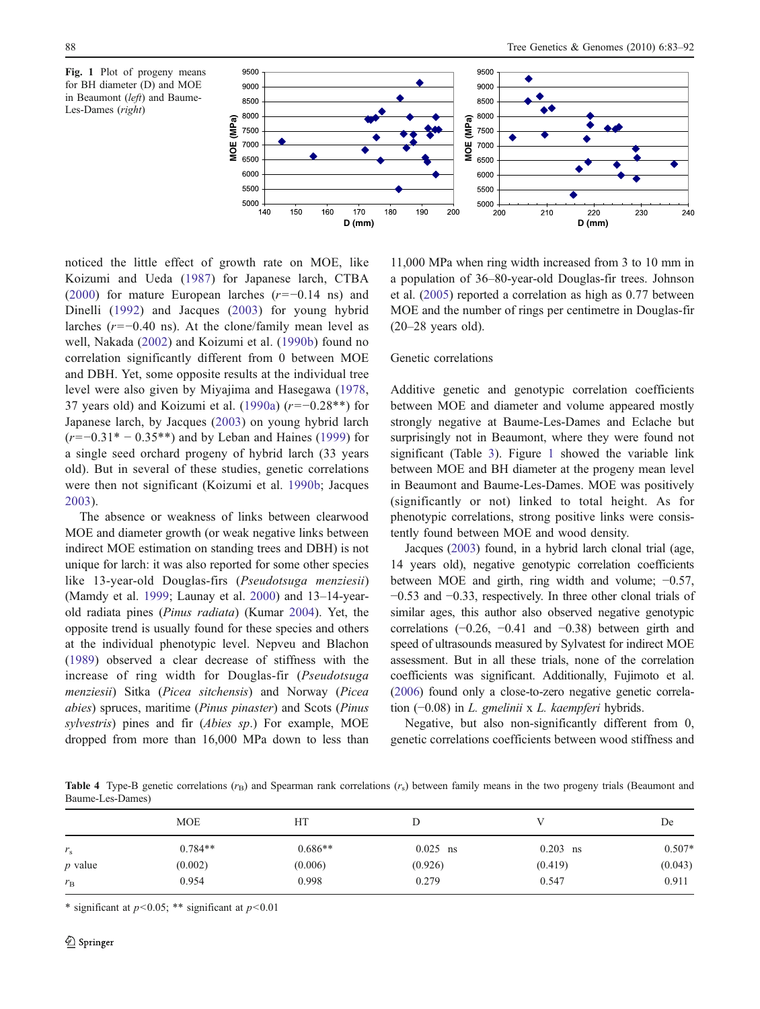<span id="page-5-0"></span>



noticed the little effect of growth rate on MOE, like Koizumi and Ueda ([1987](#page-8-0)) for Japanese larch, CTBA [\(2000\)](#page-8-0) for mature European larches  $(r=-0.14 \text{ ns})$  and Dinelli ([1992\)](#page-8-0) and Jacques ([2003\)](#page-8-0) for young hybrid larches ( $r=-0.40$  ns). At the clone/family mean level as well, Nakada [\(2002\)](#page-8-0) and Koizumi et al. ([1990b\)](#page-8-0) found no correlation significantly different from 0 between MOE and DBH. Yet, some opposite results at the individual tree level were also given by Miyajima and Hasegawa [\(1978,](#page-8-0) 37 years old) and Koizumi et al. [\(1990a](#page-8-0))  $(r=-0.28**)$  for Japanese larch, by Jacques ([2003](#page-8-0)) on young hybrid larch (r=−0.31\* − 0.35\*\*) and by Leban and Haines ([1999](#page-8-0)) for a single seed orchard progeny of hybrid larch (33 years old). But in several of these studies, genetic correlations were then not significant (Koizumi et al. [1990b](#page-8-0); Jacques [2003](#page-8-0)).

The absence or weakness of links between clearwood MOE and diameter growth (or weak negative links between indirect MOE estimation on standing trees and DBH) is not unique for larch: it was also reported for some other species like 13-year-old Douglas-firs (Pseudotsuga menziesii) (Mamdy et al. [1999;](#page-8-0) Launay et al. [2000](#page-8-0)) and 13–14-yearold radiata pines (Pinus radiata) (Kumar [2004\)](#page-8-0). Yet, the opposite trend is usually found for these species and others at the individual phenotypic level. Nepveu and Blachon [\(1989](#page-8-0)) observed a clear decrease of stiffness with the increase of ring width for Douglas-fir (Pseudotsuga menziesii) Sitka (Picea sitchensis) and Norway (Picea abies) spruces, maritime (Pinus pinaster) and Scots (Pinus sylvestris) pines and fir (Abies sp.) For example, MOE dropped from more than 16,000 MPa down to less than

11,000 MPa when ring width increased from 3 to 10 mm in a population of 36–80-year-old Douglas-fir trees. Johnson et al. [\(2005](#page-8-0)) reported a correlation as high as 0.77 between MOE and the number of rings per centimetre in Douglas-fir (20–28 years old).

#### Genetic correlations

Additive genetic and genotypic correlation coefficients between MOE and diameter and volume appeared mostly strongly negative at Baume-Les-Dames and Eclache but surprisingly not in Beaumont, where they were found not significant (Table [3\)](#page-4-0). Figure 1 showed the variable link between MOE and BH diameter at the progeny mean level in Beaumont and Baume-Les-Dames. MOE was positively (significantly or not) linked to total height. As for phenotypic correlations, strong positive links were consistently found between MOE and wood density.

Jacques ([2003](#page-8-0)) found, in a hybrid larch clonal trial (age, 14 years old), negative genotypic correlation coefficients between MOE and girth, ring width and volume; −0.57, −0.53 and −0.33, respectively. In three other clonal trials of similar ages, this author also observed negative genotypic correlations  $(-0.26, -0.41, 0.38)$  between girth and speed of ultrasounds measured by Sylvatest for indirect MOE assessment. But in all these trials, none of the correlation coefficients was significant. Additionally, Fujimoto et al. [\(2006\)](#page-8-0) found only a close-to-zero negative genetic correlation (−0.08) in L. gmelinii x L. kaempferi hybrids.

Negative, but also non-significantly different from 0, genetic correlations coefficients between wood stiffness and

Table 4 Type-B genetic correlations  $(r_B)$  and Spearman rank correlations  $(r_S)$  between family means in the two progeny trials (Beaumont and Baume-Les-Dames)

|                | <b>MOE</b> | HТ        |            |            | De       |
|----------------|------------|-----------|------------|------------|----------|
| $r_{\rm s}$    | $0.784**$  | $0.686**$ | $0.025$ ns | $0.203$ ns | $0.507*$ |
| <i>p</i> value | (0.002)    | (0.006)   | (0.926)    | (0.419)    | (0.043)  |
| $r_{\rm B}$    | 0.954      | 0.998     | 0.279      | 0.547      | 0.911    |

\* significant at  $p < 0.05$ ; \*\* significant at  $p < 0.01$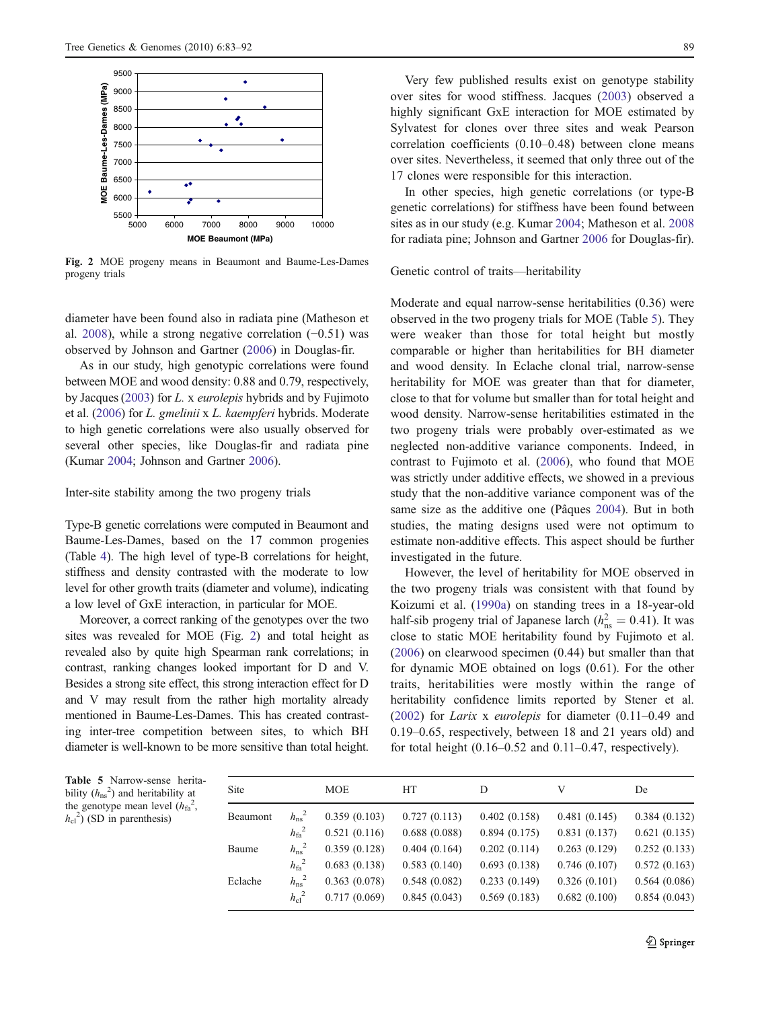

Fig. 2 MOE progeny means in Beaumont and Baume-Les-Dames progeny trials

diameter have been found also in radiata pine (Matheson et al. [2008](#page-8-0)), while a strong negative correlation (−0.51) was observed by Johnson and Gartner [\(2006](#page-8-0)) in Douglas-fir.

As in our study, high genotypic correlations were found between MOE and wood density: 0.88 and 0.79, respectively, by Jacques [\(2003\)](#page-8-0) for L. x eurolepis hybrids and by Fujimoto et al. [\(2006](#page-8-0)) for L. gmelinii x L. kaempferi hybrids. Moderate to high genetic correlations were also usually observed for several other species, like Douglas-fir and radiata pine (Kumar [2004;](#page-8-0) Johnson and Gartner [2006\)](#page-8-0).

## Inter-site stability among the two progeny trials

Type-B genetic correlations were computed in Beaumont and Baume-Les-Dames, based on the 17 common progenies (Table [4\)](#page-5-0). The high level of type-B correlations for height, stiffness and density contrasted with the moderate to low level for other growth traits (diameter and volume), indicating a low level of GxE interaction, in particular for MOE.

Moreover, a correct ranking of the genotypes over the two sites was revealed for MOE (Fig. 2) and total height as revealed also by quite high Spearman rank correlations; in contrast, ranking changes looked important for D and V. Besides a strong site effect, this strong interaction effect for D and V may result from the rather high mortality already mentioned in Baume-Les-Dames. This has created contrasting inter-tree competition between sites, to which BH diameter is well-known to be more sensitive than total height.

Very few published results exist on genotype stability over sites for wood stiffness. Jacques ([2003\)](#page-8-0) observed a highly significant GxE interaction for MOE estimated by Sylvatest for clones over three sites and weak Pearson correlation coefficients (0.10–0.48) between clone means over sites. Nevertheless, it seemed that only three out of the 17 clones were responsible for this interaction.

In other species, high genetic correlations (or type-B genetic correlations) for stiffness have been found between sites as in our study (e.g. Kumar [2004](#page-8-0); Matheson et al. [2008](#page-8-0) for radiata pine; Johnson and Gartner [2006](#page-8-0) for Douglas-fir).

#### Genetic control of traits—heritability

Moderate and equal narrow-sense heritabilities (0.36) were observed in the two progeny trials for MOE (Table 5). They were weaker than those for total height but mostly comparable or higher than heritabilities for BH diameter and wood density. In Eclache clonal trial, narrow-sense heritability for MOE was greater than that for diameter, close to that for volume but smaller than for total height and wood density. Narrow-sense heritabilities estimated in the two progeny trials were probably over-estimated as we neglected non-additive variance components. Indeed, in contrast to Fujimoto et al. ([2006\)](#page-8-0), who found that MOE was strictly under additive effects, we showed in a previous study that the non-additive variance component was of the same size as the additive one (Pâques [2004\)](#page-9-0). But in both studies, the mating designs used were not optimum to estimate non-additive effects. This aspect should be further investigated in the future.

However, the level of heritability for MOE observed in the two progeny trials was consistent with that found by Koizumi et al. ([1990a\)](#page-8-0) on standing trees in a 18-year-old half-sib progeny trial of Japanese larch ( $h_{\text{ns}}^2 = 0.41$ ). It was close to static MOE heritability found by Fujimoto et al. [\(2006](#page-8-0)) on clearwood specimen (0.44) but smaller than that for dynamic MOE obtained on logs (0.61). For the other traits, heritabilities were mostly within the range of heritability confidence limits reported by Stener et al. [\(2002](#page-9-0)) for Larix x eurolepis for diameter (0.11–0.49 and 0.19–0.65, respectively, between 18 and 21 years old) and for total height  $(0.16-0.52$  and  $0.11-0.47$ , respectively).

|  | Table 5 Narrow-sense herita-                  |  |
|--|-----------------------------------------------|--|
|  | bility $(h_{ns}^2)$ and heritability at       |  |
|  | the genotype mean level $(h_{\text{fa}}^2)$ , |  |
|  | $h_{\rm cl}^{2}$ ) (SD in parenthesis)        |  |

| <b>Site</b> |                  | <b>MOE</b>   | <b>HT</b>    | D            | V            | De           |
|-------------|------------------|--------------|--------------|--------------|--------------|--------------|
| Beaumont    | $h_{\rm ns}{}^2$ | 0.359(0.103) | 0.727(0.113) | 0.402(0.158) | 0.481(0.145) | 0.384(0.132) |
|             | $h_{\rm fa}{}^2$ | 0.521(0.116) | 0.688(0.088) | 0.894(0.175) | 0.831(0.137) | 0.621(0.135) |
| Baume       | $h_{\rm ns}{}^2$ | 0.359(0.128) | 0.404(0.164) | 0.202(0.114) | 0.263(0.129) | 0.252(0.133) |
|             | $h_{\rm fa}{}^2$ | 0.683(0.138) | 0.583(0.140) | 0.693(0.138) | 0.746(0.107) | 0.572(0.163) |
| Eclache     | $h_{\rm ns}{}^2$ | 0.363(0.078) | 0.548(0.082) | 0.233(0.149) | 0.326(0.101) | 0.564(0.086) |
|             | $h_{\rm cl}^2$   | 0.717(0.069) | 0.845(0.043) | 0.569(0.183) | 0.682(0.100) | 0.854(0.043) |
|             |                  |              |              |              |              |              |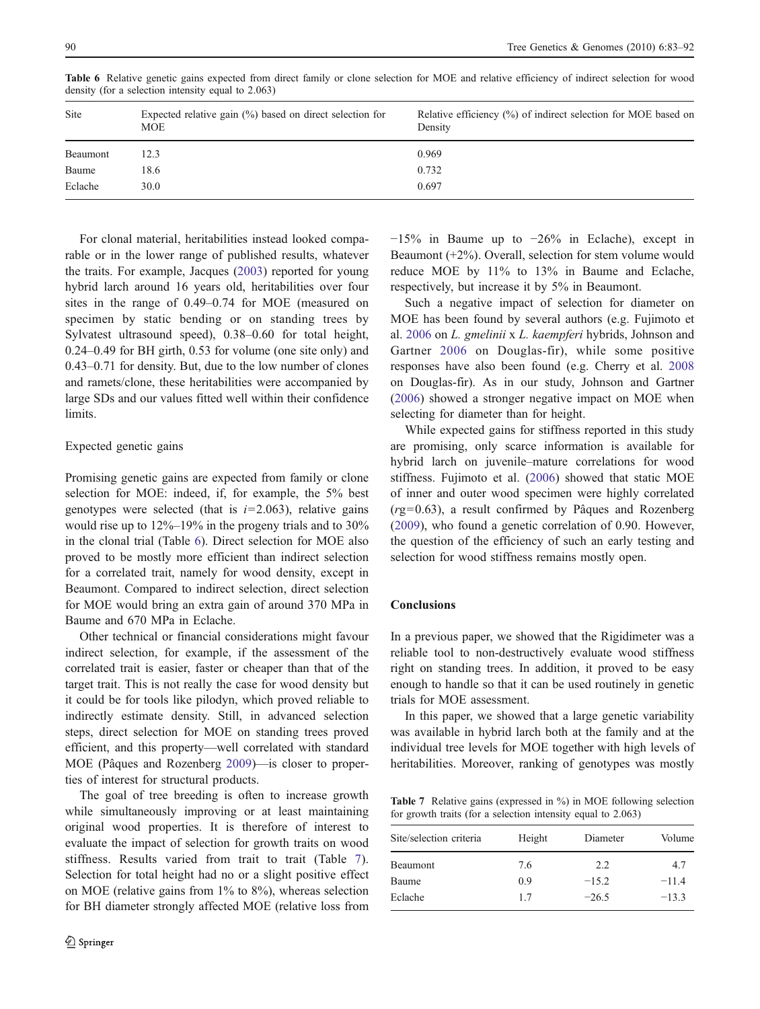| Site     | Expected relative gain $(\%)$ based on direct selection for<br>MOE. | Relative efficiency $(\%)$ of indirect selection for MOE based on<br>Density |
|----------|---------------------------------------------------------------------|------------------------------------------------------------------------------|
| Beaumont | 12.3                                                                | 0.969                                                                        |
| Baume    | 18.6                                                                | 0.732                                                                        |
| Eclache  | 30.0                                                                | 0.697                                                                        |

Table 6 Relative genetic gains expected from direct family or clone selection for MOE and relative efficiency of indirect selection for wood density (for a selection intensity equal to 2.063)

For clonal material, heritabilities instead looked comparable or in the lower range of published results, whatever the traits. For example, Jacques [\(2003](#page-8-0)) reported for young hybrid larch around 16 years old, heritabilities over four sites in the range of 0.49–0.74 for MOE (measured on specimen by static bending or on standing trees by Sylvatest ultrasound speed), 0.38–0.60 for total height, 0.24–0.49 for BH girth, 0.53 for volume (one site only) and 0.43–0.71 for density. But, due to the low number of clones and ramets/clone, these heritabilities were accompanied by large SDs and our values fitted well within their confidence limits.

# Expected genetic gains

Promising genetic gains are expected from family or clone selection for MOE: indeed, if, for example, the 5% best genotypes were selected (that is  $i=2.063$ ), relative gains would rise up to 12%–19% in the progeny trials and to 30% in the clonal trial (Table 6). Direct selection for MOE also proved to be mostly more efficient than indirect selection for a correlated trait, namely for wood density, except in Beaumont. Compared to indirect selection, direct selection for MOE would bring an extra gain of around 370 MPa in Baume and 670 MPa in Eclache.

Other technical or financial considerations might favour indirect selection, for example, if the assessment of the correlated trait is easier, faster or cheaper than that of the target trait. This is not really the case for wood density but it could be for tools like pilodyn, which proved reliable to indirectly estimate density. Still, in advanced selection steps, direct selection for MOE on standing trees proved efficient, and this property—well correlated with standard MOE (Pâques and Rozenberg [2009](#page-9-0))—is closer to properties of interest for structural products.

The goal of tree breeding is often to increase growth while simultaneously improving or at least maintaining original wood properties. It is therefore of interest to evaluate the impact of selection for growth traits on wood stiffness. Results varied from trait to trait (Table 7). Selection for total height had no or a slight positive effect on MOE (relative gains from 1% to 8%), whereas selection for BH diameter strongly affected MOE (relative loss from −15% in Baume up to −26% in Eclache), except in Beaumont  $(+2%)$ . Overall, selection for stem volume would reduce MOE by 11% to 13% in Baume and Eclache, respectively, but increase it by 5% in Beaumont.

Such a negative impact of selection for diameter on MOE has been found by several authors (e.g. Fujimoto et al. [2006](#page-8-0) on L. gmelinii x L. kaempferi hybrids, Johnson and Gartner [2006](#page-8-0) on Douglas-fir), while some positive responses have also been found (e.g. Cherry et al. [2008](#page-8-0) on Douglas-fir). As in our study, Johnson and Gartner [\(2006](#page-8-0)) showed a stronger negative impact on MOE when selecting for diameter than for height.

While expected gains for stiffness reported in this study are promising, only scarce information is available for hybrid larch on juvenile–mature correlations for wood stiffness. Fujimoto et al. [\(2006](#page-8-0)) showed that static MOE of inner and outer wood specimen were highly correlated  $(rg=0.63)$ , a result confirmed by Pâques and Rozenberg [\(2009](#page-9-0)), who found a genetic correlation of 0.90. However, the question of the efficiency of such an early testing and selection for wood stiffness remains mostly open.

# **Conclusions**

In a previous paper, we showed that the Rigidimeter was a reliable tool to non-destructively evaluate wood stiffness right on standing trees. In addition, it proved to be easy enough to handle so that it can be used routinely in genetic trials for MOE assessment.

In this paper, we showed that a large genetic variability was available in hybrid larch both at the family and at the individual tree levels for MOE together with high levels of heritabilities. Moreover, ranking of genotypes was mostly

Table 7 Relative gains (expressed in %) in MOE following selection for growth traits (for a selection intensity equal to 2.063)

| Site/selection criteria | Height | Diameter | Volume  |
|-------------------------|--------|----------|---------|
| Beaumont                | 7.6    | 2.2      | 4.7     |
| Baume                   | 0.9    | $-15.2$  | $-11.4$ |
| Eclache                 | 17     | $-26.5$  | $-13.3$ |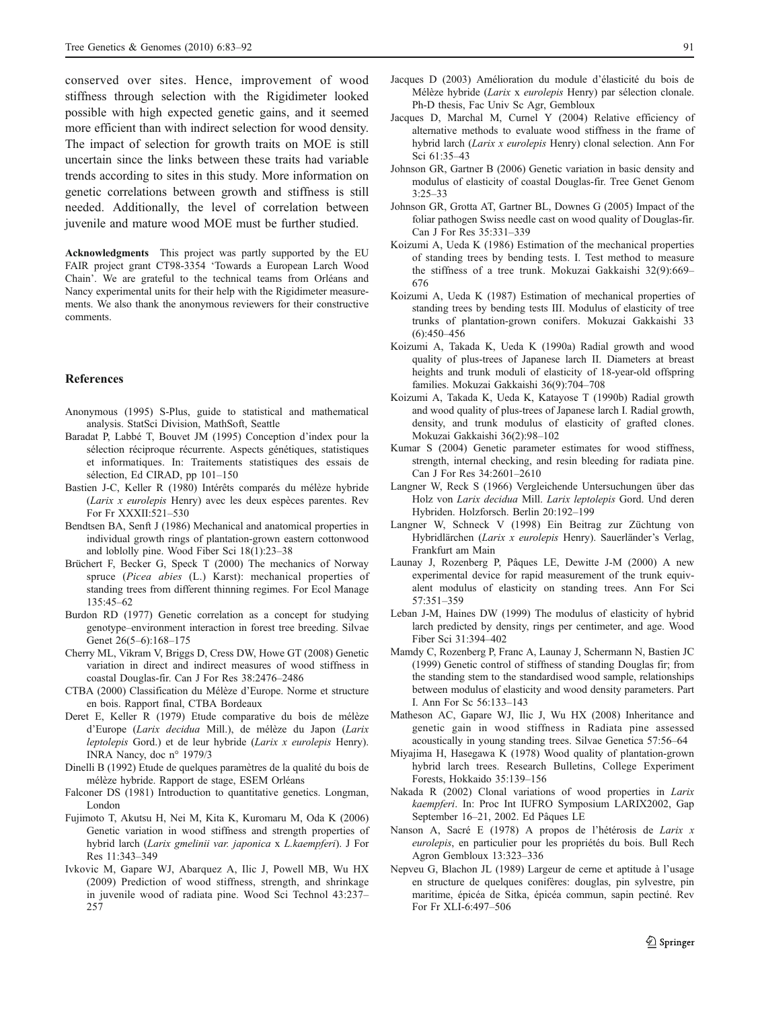<span id="page-8-0"></span>conserved over sites. Hence, improvement of wood stiffness through selection with the Rigidimeter looked possible with high expected genetic gains, and it seemed more efficient than with indirect selection for wood density. The impact of selection for growth traits on MOE is still uncertain since the links between these traits had variable trends according to sites in this study. More information on genetic correlations between growth and stiffness is still needed. Additionally, the level of correlation between juvenile and mature wood MOE must be further studied.

Acknowledgments This project was partly supported by the EU FAIR project grant CT98-3354 'Towards a European Larch Wood Chain'. We are grateful to the technical teams from Orléans and Nancy experimental units for their help with the Rigidimeter measurements. We also thank the anonymous reviewers for their constructive comments.

## References

- Anonymous (1995) S-Plus, guide to statistical and mathematical analysis. StatSci Division, MathSoft, Seattle
- Baradat P, Labbé T, Bouvet JM (1995) Conception d'index pour la sélection réciproque récurrente. Aspects génétiques, statistiques et informatiques. In: Traitements statistiques des essais de sélection, Ed CIRAD, pp 101–150
- Bastien J-C, Keller R (1980) Intérêts comparés du mélèze hybride (Larix x eurolepis Henry) avec les deux espèces parentes. Rev For Fr XXXII:521–530
- Bendtsen BA, Senft J (1986) Mechanical and anatomical properties in individual growth rings of plantation-grown eastern cottonwood and loblolly pine. Wood Fiber Sci 18(1):23–38
- Brüchert F, Becker G, Speck T (2000) The mechanics of Norway spruce (Picea abies (L.) Karst): mechanical properties of standing trees from different thinning regimes. For Ecol Manage 135:45–62
- Burdon RD (1977) Genetic correlation as a concept for studying genotype–environment interaction in forest tree breeding. Silvae Genet 26(5–6):168–175
- Cherry ML, Vikram V, Briggs D, Cress DW, Howe GT (2008) Genetic variation in direct and indirect measures of wood stiffness in coastal Douglas-fir. Can J For Res 38:2476–2486
- CTBA (2000) Classification du Mélèze d'Europe. Norme et structure en bois. Rapport final, CTBA Bordeaux
- Deret E, Keller R (1979) Etude comparative du bois de mélèze d'Europe (Larix decidua Mill.), de mélèze du Japon (Larix leptolepis Gord.) et de leur hybride (Larix x eurolepis Henry). INRA Nancy, doc n° 1979/3
- Dinelli B (1992) Etude de quelques paramètres de la qualité du bois de mélèze hybride. Rapport de stage, ESEM Orléans
- Falconer DS (1981) Introduction to quantitative genetics. Longman, London
- Fujimoto T, Akutsu H, Nei M, Kita K, Kuromaru M, Oda K (2006) Genetic variation in wood stiffness and strength properties of hybrid larch (Larix gmelinii var. japonica x L.kaempferi). J For Res 11:343–349
- Ivkovic M, Gapare WJ, Abarquez A, Ilic J, Powell MB, Wu HX (2009) Prediction of wood stiffness, strength, and shrinkage in juvenile wood of radiata pine. Wood Sci Technol 43:237– 257
- Jacques D (2003) Amélioration du module d'élasticité du bois de Mélèze hybride (Larix x eurolepis Henry) par sélection clonale. Ph-D thesis, Fac Univ Sc Agr, Gembloux
- Jacques D, Marchal M, Curnel Y (2004) Relative efficiency of alternative methods to evaluate wood stiffness in the frame of hybrid larch (Larix x eurolepis Henry) clonal selection. Ann For Sci 61:35–43
- Johnson GR, Gartner B (2006) Genetic variation in basic density and modulus of elasticity of coastal Douglas-fir. Tree Genet Genom 3:25–33
- Johnson GR, Grotta AT, Gartner BL, Downes G (2005) Impact of the foliar pathogen Swiss needle cast on wood quality of Douglas-fir. Can J For Res 35:331–339
- Koizumi A, Ueda K (1986) Estimation of the mechanical properties of standing trees by bending tests. I. Test method to measure the stiffness of a tree trunk. Mokuzai Gakkaishi 32(9):669– 676
- Koizumi A, Ueda K (1987) Estimation of mechanical properties of standing trees by bending tests III. Modulus of elasticity of tree trunks of plantation-grown conifers. Mokuzai Gakkaishi 33 (6):450–456
- Koizumi A, Takada K, Ueda K (1990a) Radial growth and wood quality of plus-trees of Japanese larch II. Diameters at breast heights and trunk moduli of elasticity of 18-year-old offspring families. Mokuzai Gakkaishi 36(9):704–708
- Koizumi A, Takada K, Ueda K, Katayose T (1990b) Radial growth and wood quality of plus-trees of Japanese larch I. Radial growth, density, and trunk modulus of elasticity of grafted clones. Mokuzai Gakkaishi 36(2):98–102
- Kumar S (2004) Genetic parameter estimates for wood stiffness, strength, internal checking, and resin bleeding for radiata pine. Can J For Res 34:2601–2610
- Langner W, Reck S (1966) Vergleichende Untersuchungen über das Holz von Larix decidua Mill. Larix leptolepis Gord. Und deren Hybriden. Holzforsch. Berlin 20:192–199
- Langner W, Schneck V (1998) Ein Beitrag zur Züchtung von Hybridlärchen (Larix x eurolepis Henry). Sauerländer's Verlag, Frankfurt am Main
- Launay J, Rozenberg P, Pâques LE, Dewitte J-M (2000) A new experimental device for rapid measurement of the trunk equivalent modulus of elasticity on standing trees. Ann For Sci 57:351–359
- Leban J-M, Haines DW (1999) The modulus of elasticity of hybrid larch predicted by density, rings per centimeter, and age. Wood Fiber Sci 31:394–402
- Mamdy C, Rozenberg P, Franc A, Launay J, Schermann N, Bastien JC (1999) Genetic control of stiffness of standing Douglas fir; from the standing stem to the standardised wood sample, relationships between modulus of elasticity and wood density parameters. Part I. Ann For Sc 56:133–143
- Matheson AC, Gapare WJ, Ilic J, Wu HX (2008) Inheritance and genetic gain in wood stiffness in Radiata pine assessed acoustically in young standing trees. Silvae Genetica 57:56–64
- Miyajima H, Hasegawa K (1978) Wood quality of plantation-grown hybrid larch trees. Research Bulletins, College Experiment Forests, Hokkaido 35:139–156
- Nakada R (2002) Clonal variations of wood properties in Larix kaempferi. In: Proc Int IUFRO Symposium LARIX2002, Gap September 16–21, 2002. Ed Pâques LE
- Nanson A, Sacré E (1978) A propos de l'hétérosis de Larix x eurolepis, en particulier pour les propriétés du bois. Bull Rech Agron Gembloux 13:323–336
- Nepveu G, Blachon JL (1989) Largeur de cerne et aptitude à l'usage en structure de quelques conifères: douglas, pin sylvestre, pin maritime, épicéa de Sitka, épicéa commun, sapin pectiné. Rev For Fr XLI-6:497–506